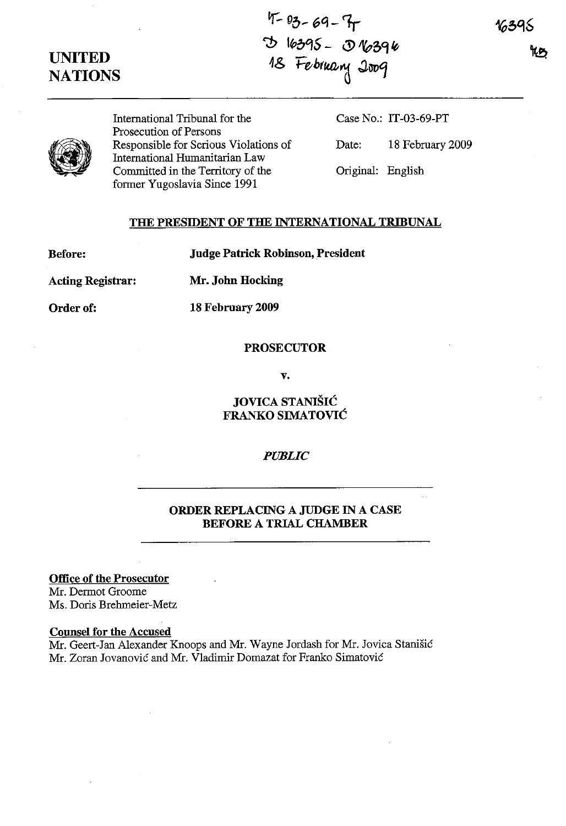# **UNITED NATIONS**

**If:. <sup>0</sup>***0- 6<1-1,* <;:!) l~oqS - **U>** *A(p5'l* **Itt** *4& Fe-h(lU].,(!* J,i1f)~



International Tribunal for the Prosecution of Persons Responsible for Serious Violations of International Humanitarian Law Committed in the Territory of the former Yugoslavia Since 1991

Case No.: **IT**-03-69-PT Date: 18 February 2009

Original: English

## **THE PRESIDENT OF THE INTERNATIONAL TRIBUNAL**

**Before:**

**Judge Patrick Robinson,President**

**Acting Registrar:**

**Mr. John Hocking**

**18 February 2009**

**Order of:**

#### **PROSECUTOR**

**v.**

**JOVICA STANISH: FRANKO SIMATOVIC**

*PUBLIC*

## **ORDER REPLACING A JUDGE IN A CASE BEFORE A TRIAL CHAMBER**

**Office of the Prosecutor**

Mr. Dermot Groome Ms. Doris Brehmeier-Metz

### **Counsel for the Accused**

Mr. Geert-Jan Alexander Knoops and Mr. Wayne Jordash for Mr. Jovica Stanisic Mr. Zoran Jovanovic and Mr. Vladimir Domazat for Franko Simatovic